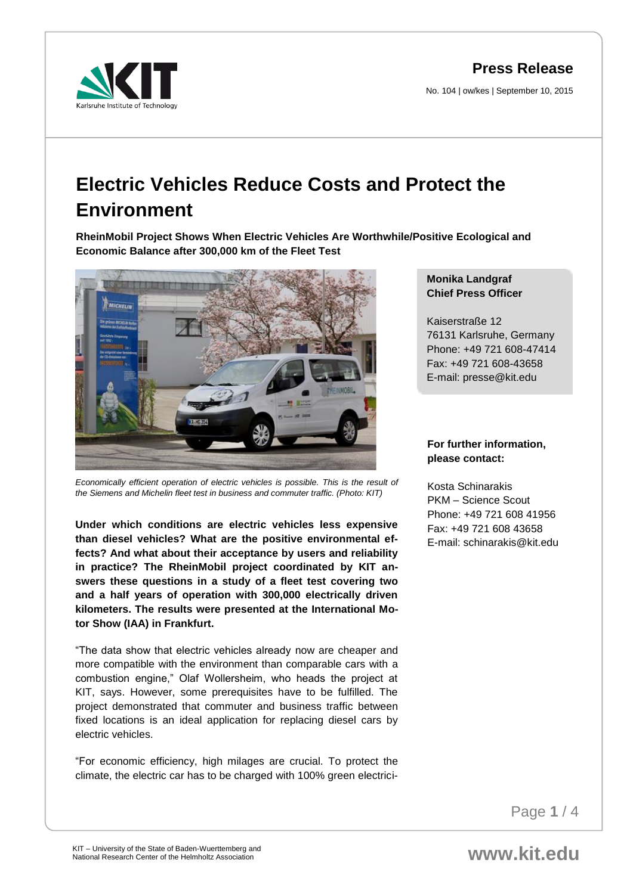**Press Release**

No. 104 | ow/kes | September 10, 2015



# **Electric Vehicles Reduce Costs and Protect the Environment**

**RheinMobil Project Shows When Electric Vehicles Are Worthwhile/Positive Ecological and Economic Balance after 300,000 km of the Fleet Test** 



*Economically efficient operation of electric vehicles is possible. This is the result of the Siemens and Michelin fleet test in business and commuter traffic. (Photo: KIT)* 

**Under which conditions are electric vehicles less expensive than diesel vehicles? What are the positive environmental effects? And what about their acceptance by users and reliability in practice? The RheinMobil project coordinated by KIT answers these questions in a study of a fleet test covering two and a half years of operation with 300,000 electrically driven kilometers. The results were presented at the International Motor Show (IAA) in Frankfurt.**

"The data show that electric vehicles already now are cheaper and more compatible with the environment than comparable cars with a combustion engine," Olaf Wollersheim, who heads the project at KIT, says. However, some prerequisites have to be fulfilled. The project demonstrated that commuter and business traffic between fixed locations is an ideal application for replacing diesel cars by electric vehicles.

"For economic efficiency, high milages are crucial. To protect the climate, the electric car has to be charged with 100% green electrici-

## **Monika Landgraf Chief Press Officer**

Kaiserstraße 12 76131 Karlsruhe, Germany Phone: +49 721 608-47414 Fax: +49 721 608-43658 E-mail: presse@kit.edu

### **For further information, please contact:**

Kosta Schinarakis PKM – Science Scout Phone: +49 721 608 41956 Fax: +49 721 608 43658 E-mail: schinarakis@kit.edu

Page **1** / 4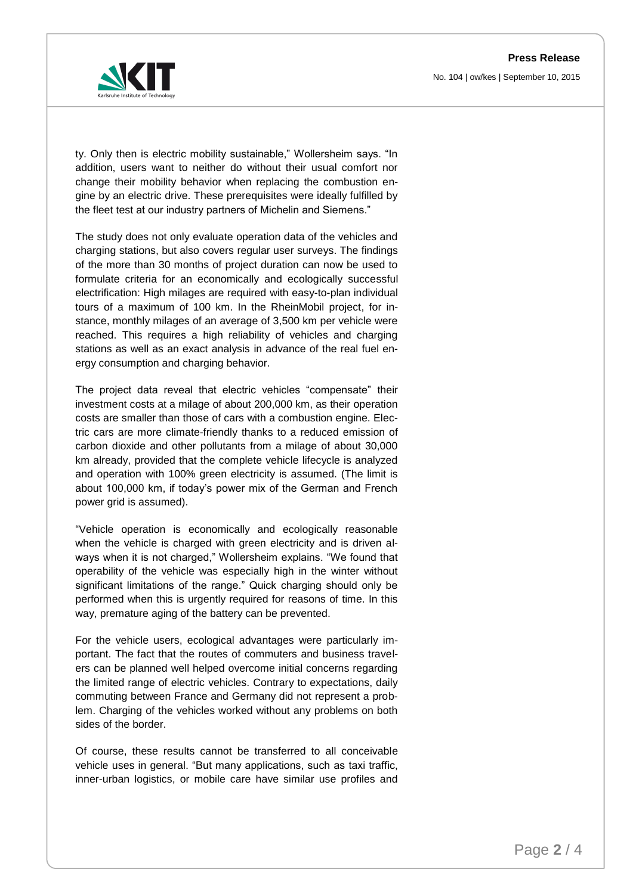**Press Release** No. 104 | ow/kes | September 10, 2015



ty. Only then is electric mobility sustainable," Wollersheim says. "In addition, users want to neither do without their usual comfort nor change their mobility behavior when replacing the combustion engine by an electric drive. These prerequisites were ideally fulfilled by the fleet test at our industry partners of Michelin and Siemens."

The study does not only evaluate operation data of the vehicles and charging stations, but also covers regular user surveys. The findings of the more than 30 months of project duration can now be used to formulate criteria for an economically and ecologically successful electrification: High milages are required with easy-to-plan individual tours of a maximum of 100 km. In the RheinMobil project, for instance, monthly milages of an average of 3,500 km per vehicle were reached. This requires a high reliability of vehicles and charging stations as well as an exact analysis in advance of the real fuel energy consumption and charging behavior.

The project data reveal that electric vehicles "compensate" their investment costs at a milage of about 200,000 km, as their operation costs are smaller than those of cars with a combustion engine. Electric cars are more climate-friendly thanks to a reduced emission of carbon dioxide and other pollutants from a milage of about 30,000 km already, provided that the complete vehicle lifecycle is analyzed and operation with 100% green electricity is assumed. (The limit is about 100,000 km, if today's power mix of the German and French power grid is assumed).

"Vehicle operation is economically and ecologically reasonable when the vehicle is charged with green electricity and is driven always when it is not charged," Wollersheim explains. "We found that operability of the vehicle was especially high in the winter without significant limitations of the range." Quick charging should only be performed when this is urgently required for reasons of time. In this way, premature aging of the battery can be prevented.

For the vehicle users, ecological advantages were particularly important. The fact that the routes of commuters and business travelers can be planned well helped overcome initial concerns regarding the limited range of electric vehicles. Contrary to expectations, daily commuting between France and Germany did not represent a problem. Charging of the vehicles worked without any problems on both sides of the border.

Of course, these results cannot be transferred to all conceivable vehicle uses in general. "But many applications, such as taxi traffic, inner-urban logistics, or mobile care have similar use profiles and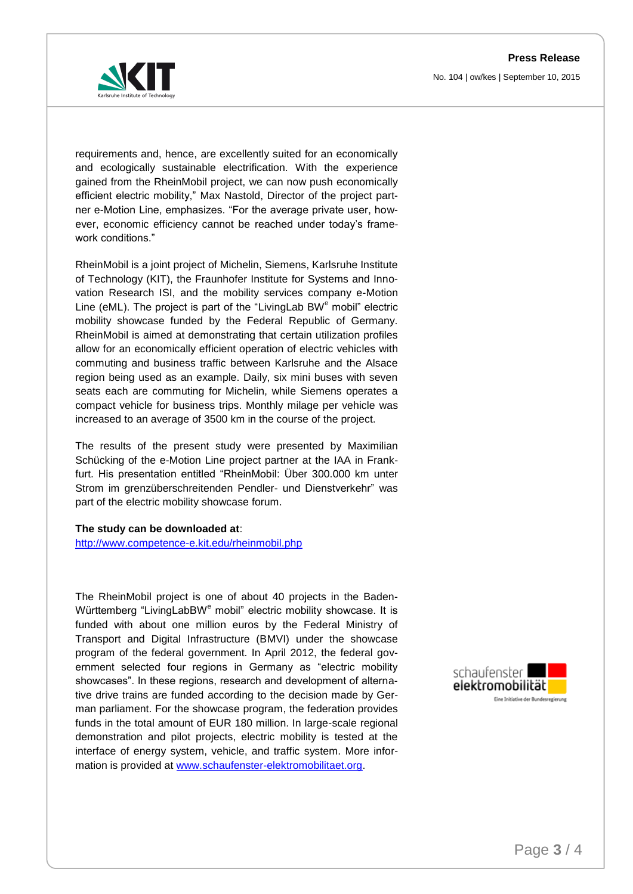**Press Release** No. 104 | ow/kes | September 10, 2015



requirements and, hence, are excellently suited for an economically and ecologically sustainable electrification. With the experience gained from the RheinMobil project, we can now push economically efficient electric mobility," Max Nastold, Director of the project partner e-Motion Line, emphasizes. "For the average private user, however, economic efficiency cannot be reached under today's framework conditions."

RheinMobil is a joint project of Michelin, Siemens, Karlsruhe Institute of Technology (KIT), the Fraunhofer Institute for Systems and Innovation Research ISI, and the mobility services company e-Motion Line (eML). The project is part of the "LivingLab  $BW<sup>e</sup>$  mobil" electric mobility showcase funded by the Federal Republic of Germany. RheinMobil is aimed at demonstrating that certain utilization profiles allow for an economically efficient operation of electric vehicles with commuting and business traffic between Karlsruhe and the Alsace region being used as an example. Daily, six mini buses with seven seats each are commuting for Michelin, while Siemens operates a compact vehicle for business trips. Monthly milage per vehicle was increased to an average of 3500 km in the course of the project.

The results of the present study were presented by Maximilian Schücking of the e-Motion Line project partner at the IAA in Frankfurt. His presentation entitled "RheinMobil: Über 300.000 km unter Strom im grenzüberschreitenden Pendler- und Dienstverkehr" was part of the electric mobility showcase forum.

#### **The study can be downloaded at**:

<http://www.competence-e.kit.edu/rheinmobil.php>

The RheinMobil project is one of about 40 projects in the Baden-Württemberg "LivingLabBW<sup>e</sup> mobil" electric mobility showcase. It is funded with about one million euros by the Federal Ministry of Transport and Digital Infrastructure (BMVI) under the showcase program of the federal government. In April 2012, the federal government selected four regions in Germany as "electric mobility showcases". In these regions, research and development of alternative drive trains are funded according to the decision made by German parliament. For the showcase program, the federation provides funds in the total amount of EUR 180 million. In large-scale regional demonstration and pilot projects, electric mobility is tested at the interface of energy system, vehicle, and traffic system. More information is provided at [www.schaufenster-elektromobilitaet.org.](http://www.schaufenster-elektromobilitaet.org/)